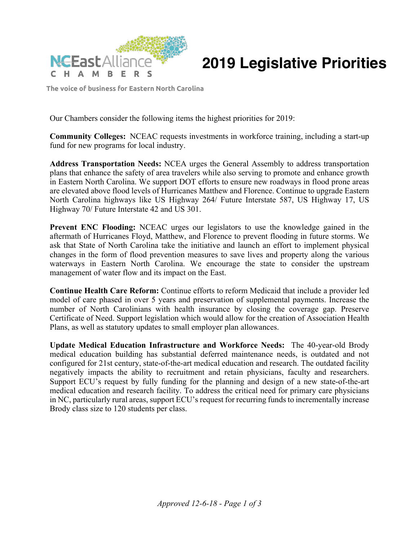

## **2019 Legislative Priorities**

**The voice of business for Eastern North Carolina**

Our Chambers consider the following items the highest priorities for 2019:

**Community Colleges:** NCEAC requests investments in workforce training, including a start-up fund for new programs for local industry.

**Address Transportation Needs:** NCEA urges the General Assembly to address transportation plans that enhance the safety of area travelers while also serving to promote and enhance growth in Eastern North Carolina. We support DOT efforts to ensure new roadways in flood prone areas are elevated above flood levels of Hurricanes Matthew and Florence. Continue to upgrade Eastern North Carolina highways like US Highway 264/ Future Interstate 587, US Highway 17, US Highway 70/ Future Interstate 42 and US 301.

**Prevent ENC Flooding:** NCEAC urges our legislators to use the knowledge gained in the aftermath of Hurricanes Floyd, Matthew, and Florence to prevent flooding in future storms. We ask that State of North Carolina take the initiative and launch an effort to implement physical changes in the form of flood prevention measures to save lives and property along the various waterways in Eastern North Carolina. We encourage the state to consider the upstream management of water flow and its impact on the East.

**Continue Health Care Reform:** Continue efforts to reform Medicaid that include a provider led model of care phased in over 5 years and preservation of supplemental payments. Increase the number of North Carolinians with health insurance by closing the coverage gap. Preserve Certificate of Need. Support legislation which would allow for the creation of Association Health Plans, as well as statutory updates to small employer plan allowances.

**Update Medical Education Infrastructure and Workforce Needs:** The 40-year-old Brody medical education building has substantial deferred maintenance needs, is outdated and not configured for 21st century, state-of-the-art medical education and research. The outdated facility negatively impacts the ability to recruitment and retain physicians, faculty and researchers. Support ECU's request by fully funding for the planning and design of a new state-of-the-art medical education and research facility. To address the critical need for primary care physicians in NC, particularly rural areas, support ECU's request for recurring funds to incrementally increase Brody class size to 120 students per class.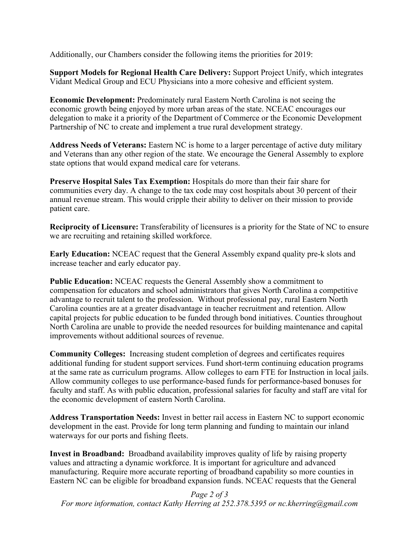Additionally, our Chambers consider the following items the priorities for 2019:

**Support Models for Regional Health Care Delivery:** Support Project Unify, which integrates Vidant Medical Group and ECU Physicians into a more cohesive and efficient system.

**Economic Development:** Predominately rural Eastern North Carolina is not seeing the economic growth being enjoyed by more urban areas of the state. NCEAC encourages our delegation to make it a priority of the Department of Commerce or the Economic Development Partnership of NC to create and implement a true rural development strategy.

**Address Needs of Veterans:** Eastern NC is home to a larger percentage of active duty military and Veterans than any other region of the state. We encourage the General Assembly to explore state options that would expand medical care for veterans.

**Preserve Hospital Sales Tax Exemption:** Hospitals do more than their fair share for communities every day. A change to the tax code may cost hospitals about 30 percent of their annual revenue stream. This would cripple their ability to deliver on their mission to provide patient care.

**Reciprocity of Licensure:** Transferability of licensures is a priority for the State of NC to ensure we are recruiting and retaining skilled workforce.

**Early Education:** NCEAC request that the General Assembly expand quality pre-k slots and increase teacher and early educator pay.

**Public Education:** NCEAC requests the General Assembly show a commitment to compensation for educators and school administrators that gives North Carolina a competitive advantage to recruit talent to the profession. Without professional pay, rural Eastern North Carolina counties are at a greater disadvantage in teacher recruitment and retention. Allow capital projects for public education to be funded through bond initiatives. Counties throughout North Carolina are unable to provide the needed resources for building maintenance and capital improvements without additional sources of revenue.

**Community Colleges:** Increasing student completion of degrees and certificates requires additional funding for student support services. Fund short-term continuing education programs at the same rate as curriculum programs. Allow colleges to earn FTE for Instruction in local jails. Allow community colleges to use performance-based funds for performance-based bonuses for faculty and staff. As with public education, professional salaries for faculty and staff are vital for the economic development of eastern North Carolina.

**Address Transportation Needs:** Invest in better rail access in Eastern NC to support economic development in the east. Provide for long term planning and funding to maintain our inland waterways for our ports and fishing fleets.

**Invest in Broadband:** Broadband availability improves quality of life by raising property values and attracting a dynamic workforce. It is important for agriculture and advanced manufacturing. Require more accurate reporting of broadband capability so more counties in Eastern NC can be eligible for broadband expansion funds. NCEAC requests that the General

*Page 2 of 3 For more information, contact Kathy Herring at 252.378.5395 or nc.kherring@gmail.com*